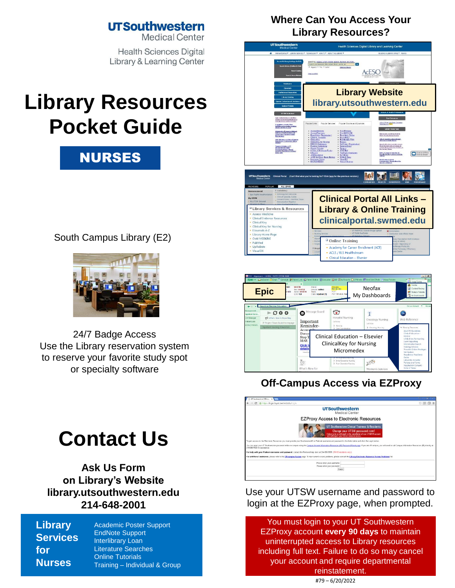### **UTSouthwestern**

**Medical Center** 

**Health Sciences Digital Library & Learning Center** 

# **Library Resources Pocket Guide**



South Campus Library (E2)



24/7 Badge Access Use the Library reservation system to reserve your favorite study spot [or specialty so](http://library.utsouthwestern.edu/links/linkUsage.cfm?linkID=8439)[ftware](http://library.utsouthwestern.edu/links/linkUsage.cfm?linkID=7124)

# **Contact Us**

**[Ask Us Form](http://library.utsouthwestern.edu/links/linkUsage.cfm?linkID=6385)  on Library's Website [library.utsouthwestern.edu](http://library.utsouthwestern.edu/) 214-648-2001**

**Library Services for Nurses**

[Academic Poster Support](http://library.utsouthwestern.edu/links/linkUsage.cfm?linkID=8444) [EndNote Support](http://library.utsouthwestern.edu/links/linkUsage.cfm?linkID=3246) [Interlibrary Loan](http://library.utsouthwestern.edu/main/portals/jpull2.aspx?1876) [Literature Searches](http://library.utsouthwestern.edu/main/portals/jpull2.aspx?3334) [Online Tutorials](http://library.utsouthwestern.edu/links/linkUsage.cfm?linkID=3896) Training – [Individual & Group](http://library.utsouthwestern.edu/main/portals/jpull2.aspx?2755)

#### **Where Can You Access Your Library Resources?**





### **Off-Campus Access via EZProxy**



Use your UTSW username and password to login at the EZProxy page, when prompted.

You must login to your UT Southwestern EZProxy account **every 90 days** to maintain uninterrupted access to Library resources including full text. Failure to do so may cancel your account and require departmental reinstatement. #79 – 6/20/2022